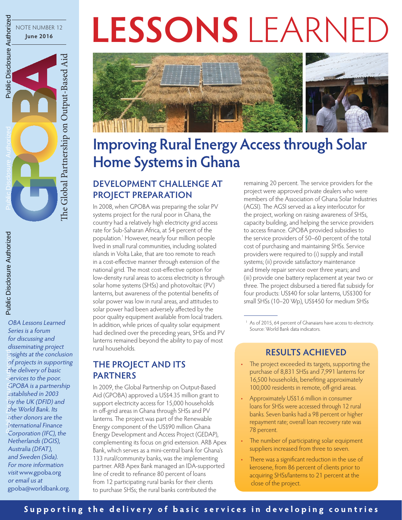# LESSONS LEARNE



## **Improving Rural Energy Access through Solar Home Systems in Ghana**

#### **DEVELOPMENT CHALLENGE AT PROJECT PREPARATION**

In 2008, when GPOBA was preparing the solar PV systems project for the rural poor in Ghana, the country had a relatively high electricity grid access rate for Sub-Saharan Africa, at 54 percent of the population. 1 However, nearly four million people lived in small rural communities, including isolated islands in Volta Lake, that are too remote to reach in a cost-effective manner through extension of the national grid. The most cost-effective option for low-density rural areas to access electricity is through solar home systems (SHSs) and photovoltaic (PV) lanterns, but awareness of the potential benefits of solar power was low in rural areas, and attitudes to solar power had been adversely affected by the poor quality equipment available from local traders. In addition, while prices of quality solar equipment had declined over the preceding years, SHSs and PV lanterns remained beyond the ability to pay of most rural households.

#### **THE PROJECT AND ITS PARTNERS**

OBA Lessons Learned Series is a forum for discussing and disseminating project insights at the conclusion of projects in supporting the delivery of basic services to the poor. GPOBA is a partnership established in 2003 by the UK (DFID) and the World Bank. Its other donors are the International Finance Corporation (IFC), the Netherlands (DGIS), Australia (DFAT), and Sweden (Sida). For more information visit www.gpoba.org or email us at

NOTE NUMBER 12 **June 2016**

Public Disclosure Authorized

Public Disclosure Authorized

Public Disclosure Authorized

Public Disclosure Authorized

Public Disclosure Authorized

Public Disclosure Authorized

e Global Partnership on Output-Based Aid

The Global Partnership on Output-Based Aid

gpoba@worldbank.org .

In 2009, the Global Partnership on Output-Based Aid (GPOBA) approved a US \$4.35 million grant to support electricity access for 15,000 households in off-grid areas in Ghana through SHSs and PV lanterns. The project was part of the Renewable Energy component of the US \$90 million Ghana Energy Development and Access Project (GEDAP), complementing its focus on grid extension. ARB Apex Bank, which serves as a mini-central bank for Ghana's 133 rural/community banks, was the implementing partner. ARB Apex Bank managed an IDA-supported line of credit to refinance 80 percent of loans from 12 participating rural banks for their clients to purchase SHSs; the rural banks contributed the

remaining 20 percent. The service providers for the project were approved private dealers who were members of the Association of Ghana Solar Industries (AGSI). The AGSI served as a key interlocutor for the project, working on raising awareness of SHSs, capacity building, and helping the service providers to access finance. GPOBA provided subsidies to the service providers of 50–60 percent of the total cost of purchasing and maintaining SHSs. Service providers were required to (i) supply and install systems; (ii) provide satisfactory maintenance and timely repair service over three years; and (iii) provide one battery replacement at year two or three. The project disbursed a tiered flat subsidy for four products: US \$40 for solar lanterns, US \$300 for small SHSs (10–20 Wp), US \$450 for medium SHSs

<sup>1</sup> As of 2015, 64 percent of Ghanaians have access to electricity. Source: World Bank data indicators.

#### **RESULTS ACHIEVED**

- The project exceeded its targets, supporting the purchase of 8,831 SHSs and 7,991 lanterns for 16,500 households, benefiting approximately 100,000 residents in remote, off-grid areas.
- Approximately US\$1.6 million in consumer loans for SHSs were accessed through 12 rural banks. Seven banks had a 98 percent or higher repayment rate; overall loan recovery rate was 78 percent.
- The number of participating solar equipment suppliers increased from three to seven.
- There was a significant reduction in the use of kerosene, from 86 percent of clients prior to acquiring SHSs/lanterns to 21 percent at the close of the project.

### **Supporting the delivery of basic services in developing countries**